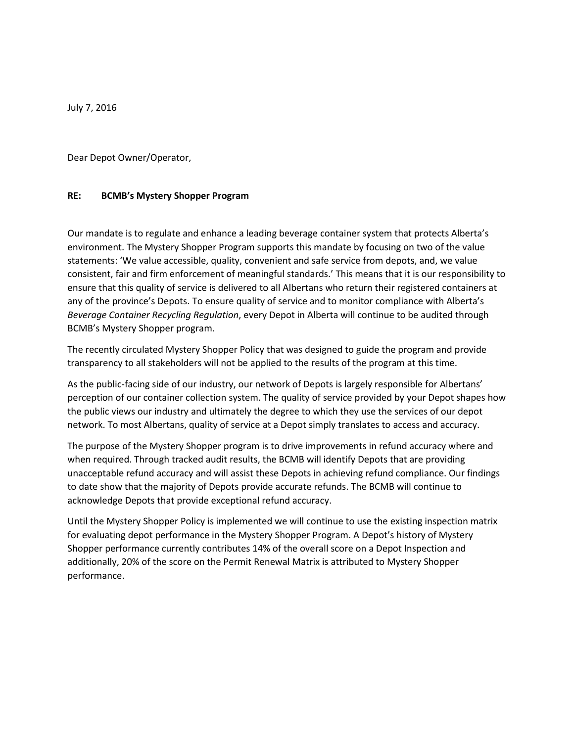July 7, 2016

Dear Depot Owner/Operator,

## **RE: BCMB's Mystery Shopper Program**

Our mandate is to regulate and enhance a leading beverage container system that protects Alberta's environment. The Mystery Shopper Program supports this mandate by focusing on two of the value statements: 'We value accessible, quality, convenient and safe service from depots, and, we value consistent, fair and firm enforcement of meaningful standards.' This means that it is our responsibility to ensure that this quality of service is delivered to all Albertans who return their registered containers at any of the province's Depots. To ensure quality of service and to monitor compliance with Alberta's *Beverage Container Recycling Regulation*, every Depot in Alberta will continue to be audited through BCMB's Mystery Shopper program.

The recently circulated Mystery Shopper Policy that was designed to guide the program and provide transparency to all stakeholders will not be applied to the results of the program at this time.

As the public-facing side of our industry, our network of Depots is largely responsible for Albertans' perception of our container collection system. The quality of service provided by your Depot shapes how the public views our industry and ultimately the degree to which they use the services of our depot network. To most Albertans, quality of service at a Depot simply translates to access and accuracy.

The purpose of the Mystery Shopper program is to drive improvements in refund accuracy where and when required. Through tracked audit results, the BCMB will identify Depots that are providing unacceptable refund accuracy and will assist these Depots in achieving refund compliance. Our findings to date show that the majority of Depots provide accurate refunds. The BCMB will continue to acknowledge Depots that provide exceptional refund accuracy.

Until the Mystery Shopper Policy is implemented we will continue to use the existing inspection matrix for evaluating depot performance in the Mystery Shopper Program. A Depot's history of Mystery Shopper performance currently contributes 14% of the overall score on a Depot Inspection and additionally, 20% of the score on the Permit Renewal Matrix is attributed to Mystery Shopper performance.